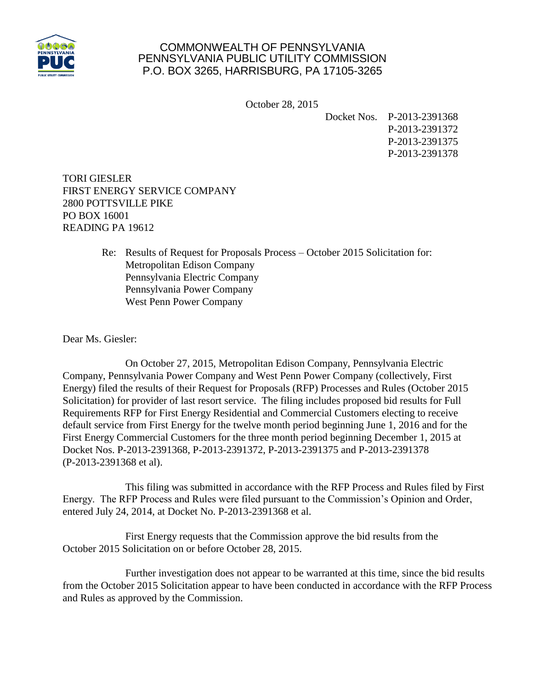

## COMMONWEALTH OF PENNSYLVANIA PENNSYLVANIA PUBLIC UTILITY COMMISSION P.O. BOX 3265, HARRISBURG, PA 17105-3265

October 28, 2015

Docket Nos. P-2013-2391368 P-2013-2391372 P-2013-2391375 P-2013-2391378

TORI GIESLER FIRST ENERGY SERVICE COMPANY 2800 POTTSVILLE PIKE PO BOX 16001 READING PA 19612

> Re: Results of Request for Proposals Process – October 2015 Solicitation for: Metropolitan Edison Company Pennsylvania Electric Company Pennsylvania Power Company West Penn Power Company

Dear Ms. Giesler:

On October 27, 2015, Metropolitan Edison Company, Pennsylvania Electric Company, Pennsylvania Power Company and West Penn Power Company (collectively, First Energy) filed the results of their Request for Proposals (RFP) Processes and Rules (October 2015 Solicitation) for provider of last resort service. The filing includes proposed bid results for Full Requirements RFP for First Energy Residential and Commercial Customers electing to receive default service from First Energy for the twelve month period beginning June 1, 2016 and for the First Energy Commercial Customers for the three month period beginning December 1, 2015 at Docket Nos. P-2013-2391368, P-2013-2391372, P-2013-2391375 and P-2013-2391378 (P-2013-2391368 et al).

This filing was submitted in accordance with the RFP Process and Rules filed by First Energy. The RFP Process and Rules were filed pursuant to the Commission's Opinion and Order, entered July 24, 2014, at Docket No. P-2013-2391368 et al.

First Energy requests that the Commission approve the bid results from the October 2015 Solicitation on or before October 28, 2015.

Further investigation does not appear to be warranted at this time, since the bid results from the October 2015 Solicitation appear to have been conducted in accordance with the RFP Process and Rules as approved by the Commission.